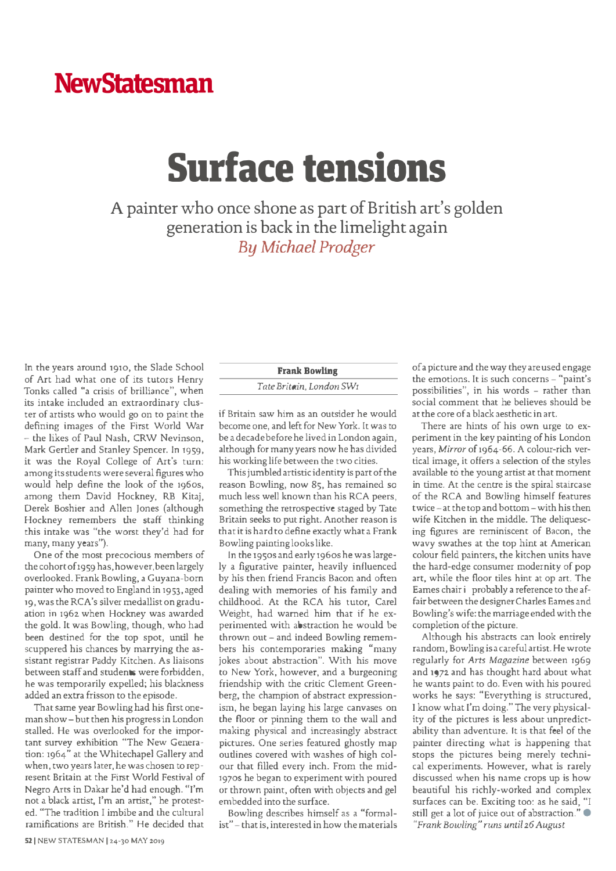## **NewStatesman**

## **Surface tensions**

**A painter who once shone as part of British art's golden generation is back in the limelight again** *By Michael Prodger*

In the years around 1910, the Slade School of Art had what one of its tutors Henry Tonks called "a crisis of brilliance", when its intake included an extraordinary cluster of artists who would go on to paint the defining images of the First World War - the likes of Paul Nash, CRW Nevinson, Mark Gertler and Stanley Spencer. In 1959, it was the Royal College of Art's tum: among its students were several figures who would help define the look of the 1960s, among them David Hockney, RB Kitaj, Derek Boshier and Allen Jones (although Hockney remembers the staff thinking this intake was "the worst they'd had for many, many years").

One of the most precocious members of the cohort of 1959 has, however, been largely overlooked. Frank Bowling, a Guyana-born painter who moved to England in 1953, aged 19, was the RCA's silver medallist on graduation in 1962 when Hockney was awarded the gold. It was Bowling, though, who had been destined for the top spot, until he scuppered his chances by marrying the assistant registrar Paddy Kitchen. As liaisons between staff and students were forbidden, he was temporarily expelled; his blackness added an extra frisson to the episode.

That same year Bowling had his first oneman show- but then his progress in London stalled. He was overlooked for the important survey exhibition "The New Generation: 1964" at the Whitechapel Gallery and when, two years later, he was chosen to represent Britain at the First World Festival of Negro Arts in Dakar he'd had enough. "I'm not a black artist, I'm an artist," he protested. ''The tradition I imbibe and the cultural ramifications are British." He decided that

## **Frank Bowling**

## *Tate Britain, London SW1*

if Britain saw him as an outsider he would become one, and left for New York. It was to be a decade before he lived in London again, although for many years now he has divided his working life between the two cities.

This jumbled artistic identity is part of the reason Bowling, now 85, has remained so much less well known than his RCA peers, something the retrospective staged by Tate Britain seeks to put right. Another reason is chat it is hard to define exactly what a Frank Bowling painting looks like.

In the 1950s and early 1960s he was largely a figurative painter, heavily influenced by his then friend Francis Bacon and often dealing with memories of his family and childhood. At the RCA his tutor, Carel Weight, had warned him that if he experimented with abstraction he would be thrown out- and indeed Bowling remembers his contemporaries making "many jokes about abstraction". With his move to New York, however, and a burgeoning friendship with the critic Clement Greenberg, the champion of abstract expression ism, he began laying his large canvases on the floor or pinning them to the wall and making physical and increasingly abstract pictures. One series featured ghostly map outlines covered with washes of high colour that filled every inch. From the mid-197os he began to experiment with poured or thrown paint, often with objects and gel embedded into the surface.

Bowling describes himself as a "formalist" -that is, interested in how the materials ofa picture and the way they are used engage the emotions. It is such concerns - "paint's possibilities", in his words - rather than social comment that he believes should be at the core of a black aesthetic in art.

There are hints of his own urge to experiment in the key painting of his London years, Mirror of 1964-66. A colour-rich vertical image, it offers a selection of the styles available to the young artist at that moment in time. At the centre is the spiral staircase of the RCA and Bowling himself features twice - at the top and bottom - with his then wife Kitchen in the middle. The deliquescing figures are reminiscent of Bacon, the wavy swathes at the top hint at American colour field painters, the kitchen units have the hard-edge consumer modernity of pop art, while the floor tiles hint at op art. The Eames chair i probably a reference to the affair between the designer Charles Eames and Bowling's wife: the marriage ended with the completion of the picture.

Although his abstracts can look entirely random, Bowling is a careful artist. He wrote regularly for *Arts Magazine* between 1969 and 1972 and has thought hard about what he wants paint to do. Even with his poured works he says: "Everything is structured, I know what I'm doing." The very physicality of the pictures is less about unpredictability than adventure. It is that feel of the painter directing what is happening that stops the pictures being merely technical experiments. However, what is rarely discussed when his name crops up is how beautiful his richly-worked and complex surfaces can be. Exciting too: as he said, "I still get a lot of juice out of abstraction."  $\bullet$ *"Frank Bowling" runs until 2.6 August*